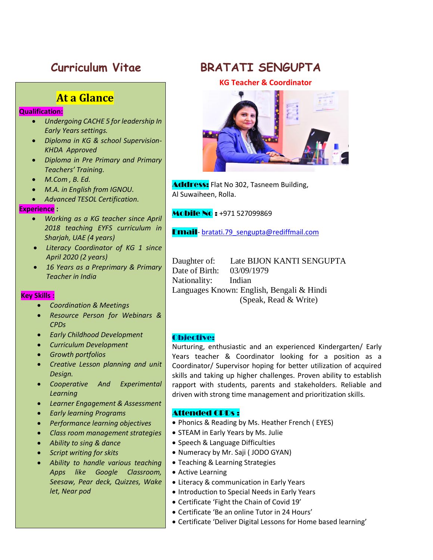# **At a Glance**

### **Qualification:**

- *Undergoing CACHE 5 for leadership In Early Years settings.*
- *Diploma in KG & school Supervision-KHDA Approved*
- *Diploma in Pre Primary and Primary Teachers' Training.*
- *M.Com , B. Ed.*
- *M.A. in English from IGNOU.*
- *Advanced TESOL Certification.*

#### **Experience :**

- *Working as a KG teacher since April 2018 teaching EYFS curriculum in Sharjah, UAE (4 years)*
- *Literacy Coordinator of KG 1 since April 2020 (2 years)*
- *16 Years as a Preprimary & Primary Teacher in India*

#### **Key Skills :**

- *Coordination & Meetings*
- *Resource Person for Webinars & CPDs*
- *Early Childhood Development*
- *Curriculum Development*
- *Growth portfolios*
- *Creative Lesson planning and unit Design.*
- *Cooperative And Experimental Learning*
- *Learner Engagement & Assessment*
- *Early learning Programs*
- *Performance learning objectives*
- *Class room management strategies*
- *Ability to sing & dance*
- *Script writing for skits*
- *Ability to handle various teaching Apps like Google Classroom, Seesaw, Pear deck, Quizzes, Wake let, Near pod*

# **Curriculum Vitae BRATATI SENGUPTA**

**KG Teacher & Coordinator** 



**Address:** Flat No 302, Tasneem Building, Al Suwaiheen, Rolla.

**Mobile No: +971 527099869** 

Email- [bratati.79\\_sengupta@rediffmail.com](mailto:bratati.79_sengupta@rediffmail.com)

Daughter of: Late BIJON KANTI SENGUPTA Date of Birth: 03/09/1979 Nationality: Indian Languages Known: English, Bengali & Hindi (Speak, Read & Write)

#### Objective:

Nurturing, enthusiastic and an experienced Kindergarten/ Early Years teacher & Coordinator looking for a position as a Coordinator/ Supervisor hoping for better utilization of acquired skills and taking up higher challenges. Proven ability to establish rapport with students, parents and stakeholders. Reliable and driven with strong time management and prioritization skills.

#### Attended CPDs :

- Phonics & Reading by Ms. Heather French (EYES)
- STEAM in Early Years by Ms. Julie
- Speech & Language Difficulties
- Numeracy by Mr. Saji (JODO GYAN)
- Teaching & Learning Strategies
- Active Learning
- Literacy & communication in Early Years
- Introduction to Special Needs in Early Years
- Certificate 'Fight the Chain of Covid 19'
- Certificate 'Be an online Tutor in 24 Hours'
- Certificate 'Deliver Digital Lessons for Home based learning'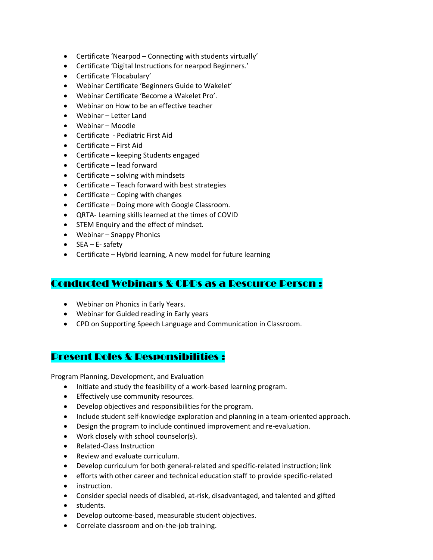- Certificate 'Nearpod Connecting with students virtually'
- Certificate 'Digital Instructions for nearpod Beginners.'
- Certificate 'Flocabulary'
- Webinar Certificate 'Beginners Guide to Wakelet'
- Webinar Certificate 'Become a Wakelet Pro'.
- Webinar on How to be an effective teacher
- Webinar Letter Land
- Webinar Moodle
- Certificate Pediatric First Aid
- Certificate First Aid
- Certificate keeping Students engaged
- Certificate lead forward
- $\bullet$  Certificate solving with mindsets
- Certificate Teach forward with best strategies
- $\bullet$  Certificate Coping with changes
- Certificate Doing more with Google Classroom.
- QRTA- Learning skills learned at the times of COVID
- STEM Enquiry and the effect of mindset.
- Webinar Snappy Phonics
- SEA E- safety
- Certificate Hybrid learning, A new model for future learning

## Conducted Webinars & CPDs as a Resource Person :

- Webinar on Phonics in Early Years.
- Webinar for Guided reading in Early years
- CPD on Supporting Speech Language and Communication in Classroom.

## Present Roles & Responsibilities :

Program Planning, Development, and Evaluation

- Initiate and study the feasibility of a work-based learning program.
- **•** Effectively use community resources.
- Develop objectives and responsibilities for the program.
- Include student self-knowledge exploration and planning in a team-oriented approach.
- Design the program to include continued improvement and re-evaluation.
- Work closely with school counselor(s).
- Related-Class Instruction
- Review and evaluate curriculum.
- Develop curriculum for both general-related and specific-related instruction; link
- efforts with other career and technical education staff to provide specific-related
- **•** instruction.
- Consider special needs of disabled, at-risk, disadvantaged, and talented and gifted
- students.
- Develop outcome-based, measurable student objectives.
- Correlate classroom and on-the-job training.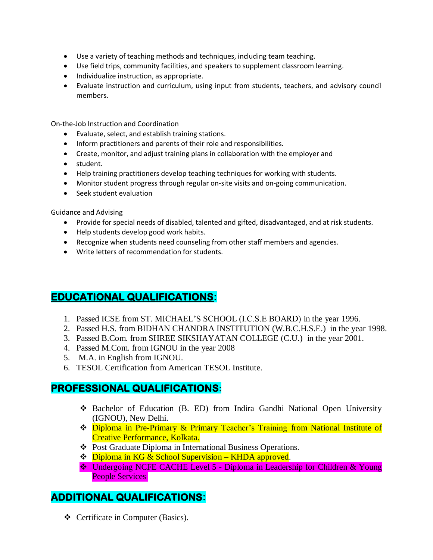- Use a variety of teaching methods and techniques, including team teaching.
- Use field trips, community facilities, and speakers to supplement classroom learning.
- Individualize instruction, as appropriate.
- Evaluate instruction and curriculum, using input from students, teachers, and advisory council members.

On-the-Job Instruction and Coordination

- Evaluate, select, and establish training stations.
- Inform practitioners and parents of their role and responsibilities.
- Create, monitor, and adjust training plans in collaboration with the employer and
- student.
- Help training practitioners develop teaching techniques for working with students.
- Monitor student progress through regular on-site visits and on-going communication.
- Seek student evaluation

Guidance and Advising

- Provide for special needs of disabled, talented and gifted, disadvantaged, and at risk students.
- Help students develop good work habits.
- Recognize when students need counseling from other staff members and agencies.
- Write letters of recommendation for students.

# **EDUCATIONAL QUALIFICATIONS:**

- 1. Passed ICSE from ST. MICHAEL'S SCHOOL (I.C.S.E BOARD) in the year 1996.
- 2. Passed H.S. from BIDHAN CHANDRA INSTITUTION (W.B.C.H.S.E.) in the year 1998.
- 3. Passed B.Com. from SHREE SIKSHAYATAN COLLEGE (C.U.) in the year 2001.
- 4. Passed M.Com. from IGNOU in the year 2008
- 5. M.A. in English from IGNOU.
- 6. TESOL Certification from American TESOL Institute.

## **PROFESSIONAL QUALIFICATIONS:**

- Bachelor of Education (B. ED) from Indira Gandhi National Open University (IGNOU), New Delhi.
- Diploma in Pre-Primary & Primary Teacher's Training from National Institute of Creative Performance, Kolkata.
- Post Graduate Diploma in International Business Operations.
- **₺** Diploma in KG & School Supervision KHDA approved.
- **₺** Undergoing NCFE CACHE Level 5 Diploma in Leadership for Children & Young People Services

# **ADDITIONAL QUALIFICATIONS:**

Certificate in Computer (Basics).